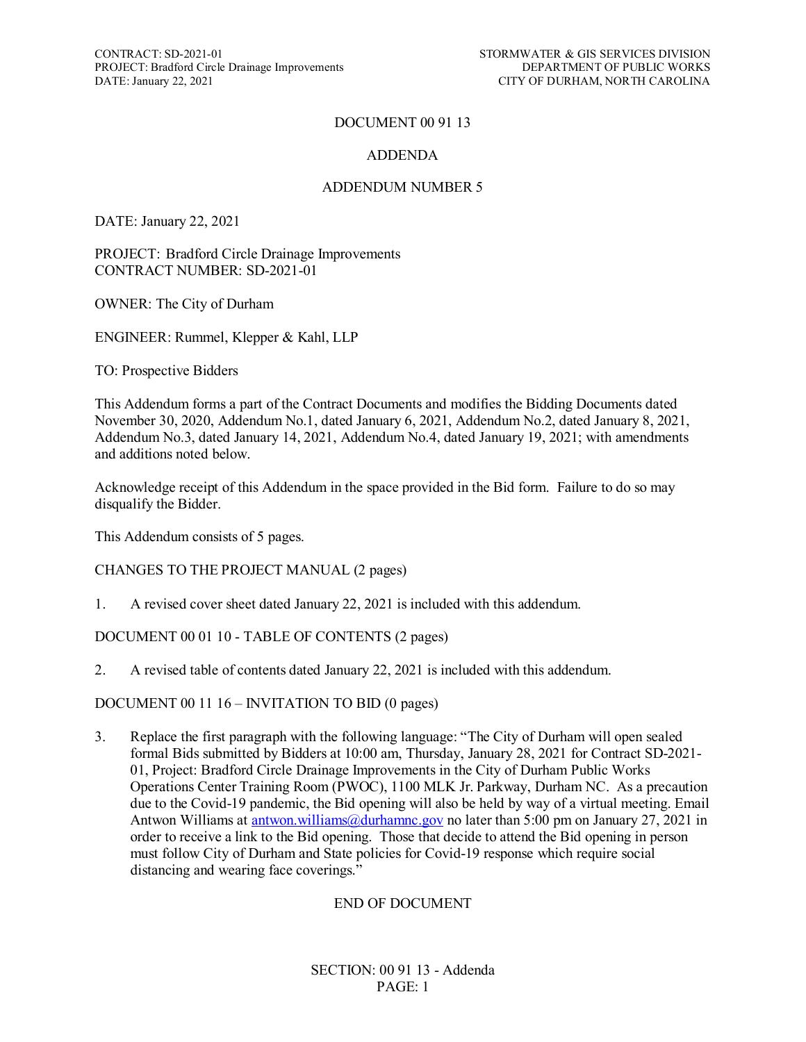CONTRACT: SD-2021-01<br>
PROJECT: Bradford Circle Drainage Improvements<br>
DEPARTMENT OF PUBLIC WORKS PROJECT: Bradford Circle Drainage Improvements<br>DATE: January 22, 2021

# DOCUMENT 00 91 13

# ADDENDA

## ADDENDUM NUMBER 5

DATE: January 22, 2021

PROJECT: Bradford Circle Drainage Improvements CONTRACT NUMBER: SD-2021-01

OWNER: The City of Durham

ENGINEER: Rummel, Klepper & Kahl, LLP

TO: Prospective Bidders

This Addendum forms a part of the Contract Documents and modifies the Bidding Documents dated November 30, 2020, Addendum No.1, dated January 6, 2021, Addendum No.2, dated January 8, 2021, Addendum No.3, dated January 14, 2021, Addendum No.4, dated January 19, 2021; with amendments and additions noted below.

Acknowledge receipt of this Addendum in the space provided in the Bid form. Failure to do so may disqualify the Bidder.

This Addendum consists of 5 pages.

## CHANGES TO THE PROJECT MANUAL (2 pages)

1. A revised cover sheet dated January 22, 2021 is included with this addendum.

## DOCUMENT 00 01 10 - TABLE OF CONTENTS (2 pages)

2. A revised table of contents dated January 22, 2021 is included with this addendum.

DOCUMENT 00 11 16 – INVITATION TO BID (0 pages)

3. Replace the first paragraph with the following language: "The City of Durham will open sealed formal Bids submitted by Bidders at 10:00 am, Thursday, January 28, 2021 for Contract SD-2021- 01, Project: Bradford Circle Drainage Improvements in the City of Durham Public Works Operations Center Training Room (PWOC), 1100 MLK Jr. Parkway, Durham NC. As a precaution due to the Covid-19 pandemic, the Bid opening will also be held by way of a virtual meeting. Email Antwon Williams at [antwon.williams@durhamnc.gov](mailto:antwon.williams@durhamnc.gov) no later than 5:00 pm on January 27, 2021 in order to receive a link to the Bid opening. Those that decide to attend the Bid opening in person must follow City of Durham and State policies for Covid-19 response which require social distancing and wearing face coverings."

#### END OF DOCUMENT

SECTION: 00 91 13 - Addenda PAGE: 1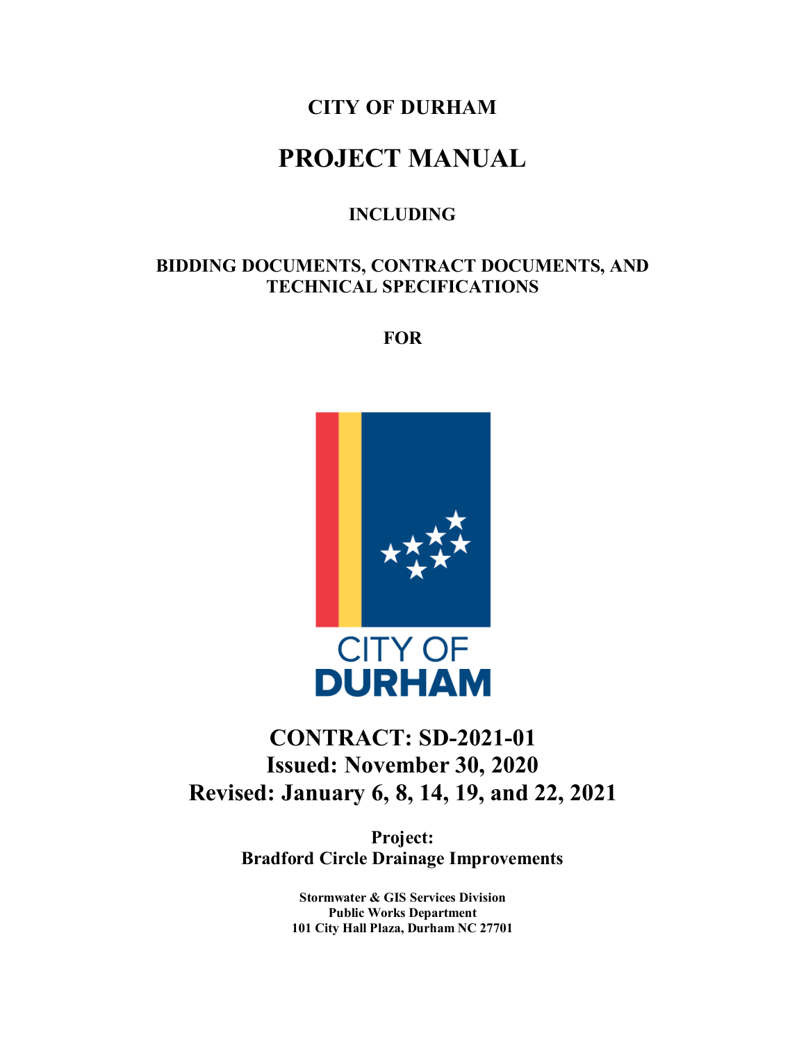# **CITY OF DURHAM**

# **PROJECT MANUAL**

# **INCLUDING**

# **BIDDING DOCUMENTS, CONTRACT DOCUMENTS, AND TECHNICAL SPECIFICATIONS**

**FOR**



# **CONTRACT: SD-2021-01 Issued: November 30, 2020 Revised: January 6, 8, 14, 19, and 22, 2021**

**Project: Bradford Circle Drainage Improvements**

> **Stormwater & GIS Services Division Public Works Department 101 City Hall Plaza, Durham NC 27701**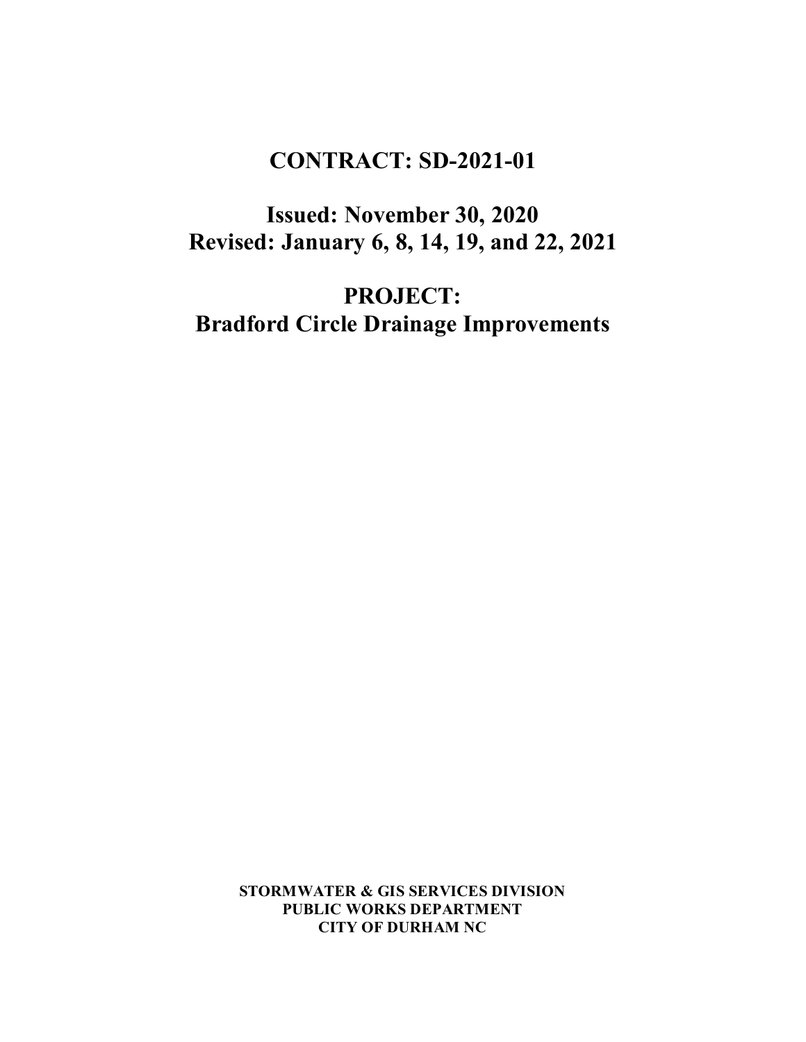# **CONTRACT: SD-2021-01**

**Issued: November 30, 2020 Revised: January 6, 8, 14, 19, and 22, 2021**

**PROJECT: Bradford Circle Drainage Improvements**

> **STORMWATER & GIS SERVICES DIVISION PUBLIC WORKS DEPARTMENT CITY OF DURHAM NC**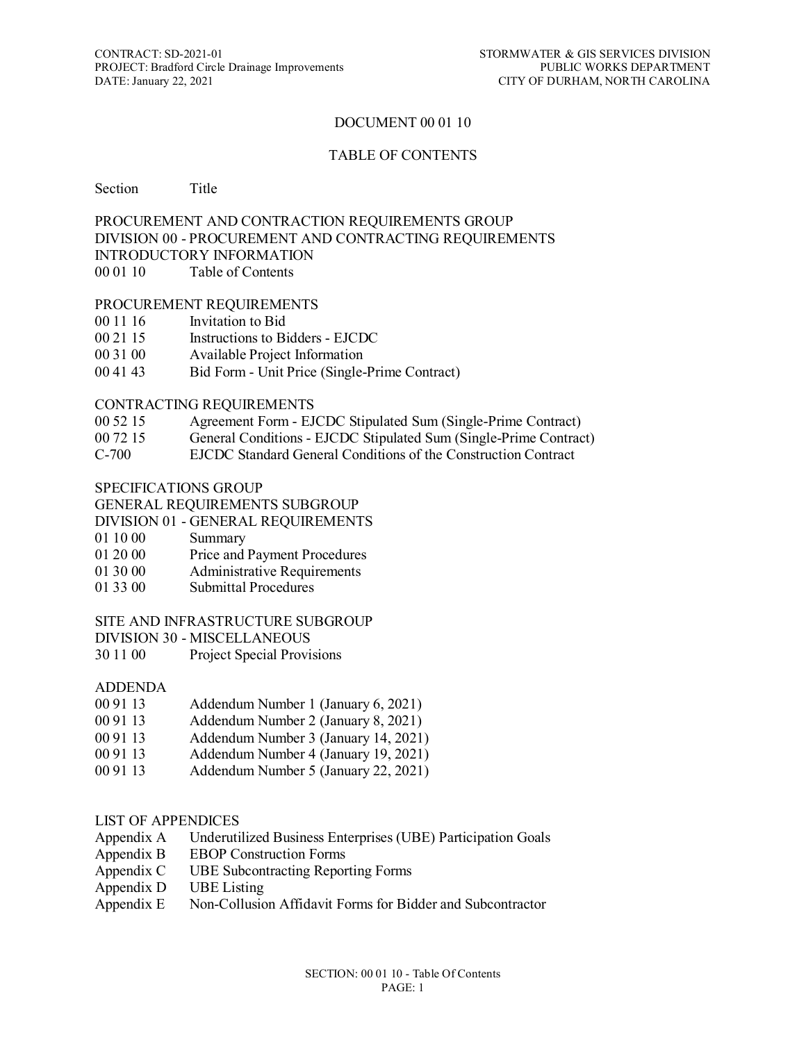# DOCUMENT 00 01 10

#### TABLE OF CONTENTS

Section Title

#### PROCUREMENT AND CONTRACTION REQUIREMENTS GROUP DIVISION 00 - PROCUREMENT AND CONTRACTING REQUIREMENTS INTRODUCTORY INFORMATION 00 01 10 Table of Contents

#### PROCUREMENT REQUIREMENTS

- 00 11 16 Invitation to Bid
- 00 21 15 Instructions to Bidders EJCDC
- 00 31 00 Available Project Information
- 00 41 43 Bid Form Unit Price (Single-Prime Contract)

#### CONTRACTING REQUIREMENTS

- 00 52 15 Agreement Form EJCDC Stipulated Sum (Single-Prime Contract)
- 00 72 15 General Conditions EJCDC Stipulated Sum (Single-Prime Contract)
- C-700 EJCDC Standard General Conditions of the Construction Contract

#### SPECIFICATIONS GROUP

#### GENERAL REQUIREMENTS SUBGROUP

- DIVISION 01 GENERAL REQUIREMENTS
- 01 10 00 Summary
- 01 20 00 Price and Payment Procedures
- 01 30 00 Administrative Requirements
- 01 33 00 Submittal Procedures

#### SITE AND INFRASTRUCTURE SUBGROUP

DIVISION 30 - MISCELLANEOUS

30 11 00 Project Special Provisions

## ADDENDA

- 00 91 13 Addendum Number 1 (January 6, 2021)
- 00 91 13 Addendum Number 2 (January 8, 2021)
- 00 91 13 Addendum Number 3 (January 14, 2021)
- 00 91 13 Addendum Number 4 (January 19, 2021)
- 00 91 13 Addendum Number 5 (January 22, 2021)

## LIST OF APPENDICES

- Appendix A Underutilized Business Enterprises (UBE) Participation Goals
- Appendix B EBOP Construction Forms
- Appendix C UBE Subcontracting Reporting Forms
- Appendix D UBE Listing
- Appendix E Non-Collusion Affidavit Forms for Bidder and Subcontractor